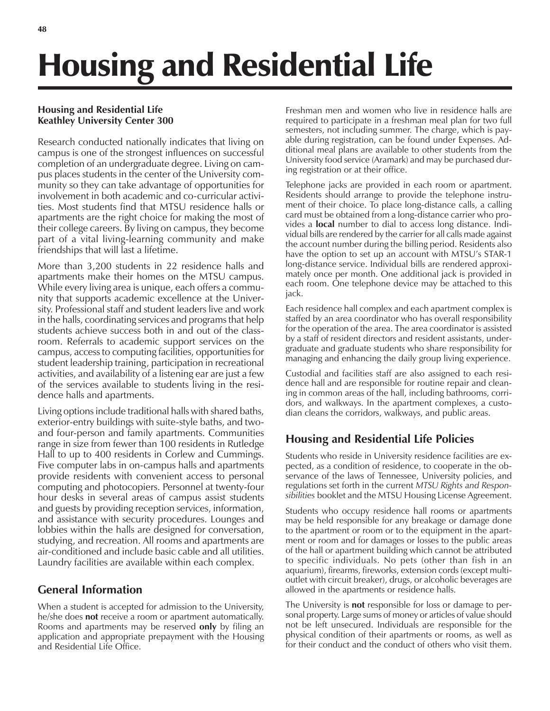# Housing and Residential Life

#### **Housing and Residential Life Keathley University Center 300**

Research conducted nationally indicates that living on campus is one of the strongest influences on successful completion of an undergraduate degree. Living on campus places students in the center of the University community so they can take advantage of opportunities for involvement in both academic and co-curricular activities. Most students find that MTSU residence halls or apartments are the right choice for making the most of their college careers. By living on campus, they become part of a vital living-learning community and make friendships that will last a lifetime.

More than 3,200 students in 22 residence halls and apartments make their homes on the MTSU campus. While every living area is unique, each offers a community that supports academic excellence at the University. Professional staff and student leaders live and work in the halls, coordinating services and programs that help students achieve success both in and out of the classroom. Referrals to academic support services on the campus, access to computing facilities, opportunities for student leadership training, participation in recreational activities, and availability of a listening ear are just a few of the services available to students living in the residence halls and apartments.

Living options include traditional halls with shared baths, exterior-entry buildings with suite-style baths, and twoand four-person and family apartments. Communities range in size from fewer than 100 residents in Rutledge Hall to up to 400 residents in Corlew and Cummings. Five computer labs in on-campus halls and apartments provide residents with convenient access to personal computing and photocopiers. Personnel at twenty-four hour desks in several areas of campus assist students and guests by providing reception services, information, and assistance with security procedures. Lounges and lobbies within the halls are designed for conversation, studying, and recreation. All rooms and apartments are air-conditioned and include basic cable and all utilities. Laundry facilities are available within each complex.

# **General Information**

When a student is accepted for admission to the University, he/she does **not** receive a room or apartment automatically. Rooms and apartments may be reserved **only** by filing an application and appropriate prepayment with the Housing and Residential Life Office.

Freshman men and women who live in residence halls are required to participate in a freshman meal plan for two full semesters, not including summer. The charge, which is payable during registration, can be found under Expenses. Additional meal plans are available to other students from the University food service (Aramark) and may be purchased during registration or at their office.

Telephone jacks are provided in each room or apartment. Residents should arrange to provide the telephone instrument of their choice. To place long-distance calls, a calling card must be obtained from a long-distance carrier who provides a **local** number to dial to access long distance. Individual bills are rendered by the carrier for all calls made against the account number during the billing period. Residents also have the option to set up an account with MTSU's STAR-1 long-distance service. Individual bills are rendered approximately once per month. One additional jack is provided in each room. One telephone device may be attached to this jack.

Each residence hall complex and each apartment complex is staffed by an area coordinator who has overall responsibility for the operation of the area. The area coordinator is assisted by a staff of resident directors and resident assistants, undergraduate and graduate students who share responsibility for managing and enhancing the daily group living experience.

Custodial and facilities staff are also assigned to each residence hall and are responsible for routine repair and cleaning in common areas of the hall, including bathrooms, corridors, and walkways. In the apartment complexes, a custodian cleans the corridors, walkways, and public areas.

# **Housing and Residential Life Policies**

Students who reside in University residence facilities are expected, as a condition of residence, to cooperate in the observance of the laws of Tennessee, University policies, and regulations set forth in the current *MTSU Rights and Responsibilities* booklet and the MTSU Housing License Agreement.

Students who occupy residence hall rooms or apartments may be held responsible for any breakage or damage done to the apartment or room or to the equipment in the apartment or room and for damages or losses to the public areas of the hall or apartment building which cannot be attributed to specific individuals. No pets (other than fish in an aquarium), firearms, fireworks, extension cords (except multioutlet with circuit breaker), drugs, or alcoholic beverages are allowed in the apartments or residence halls.

The University is **not** responsible for loss or damage to personal property. Large sums of money or articles of value should not be left unsecured. Individuals are responsible for the physical condition of their apartments or rooms, as well as for their conduct and the conduct of others who visit them.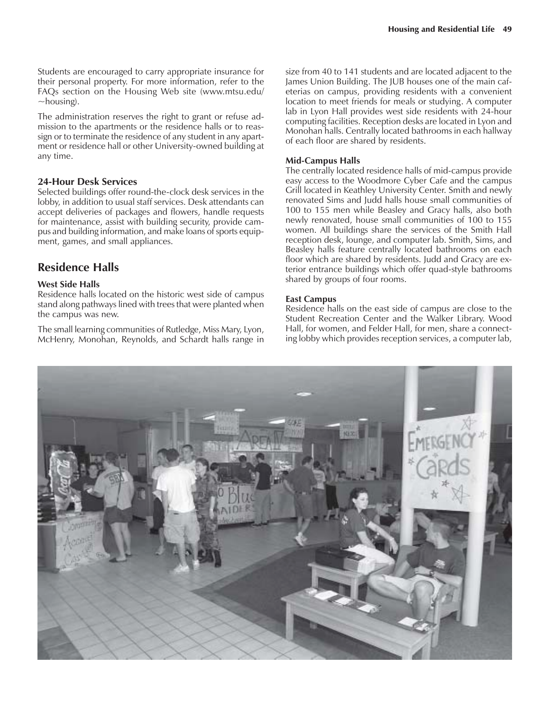Students are encouraged to carry appropriate insurance for their personal property. For more information, refer to the FAQs section on the Housing Web site (www.mtsu.edu/  $\sim$ housing).

The administration reserves the right to grant or refuse admission to the apartments or the residence halls or to reassign or to terminate the residence of any student in any apartment or residence hall or other University-owned building at any time.

#### **24-Hour Desk Services**

Selected buildings offer round-the-clock desk services in the lobby, in addition to usual staff services. Desk attendants can accept deliveries of packages and flowers, handle requests for maintenance, assist with building security, provide campus and building information, and make loans of sports equipment, games, and small appliances.

#### **Residence Halls**

#### **West Side Halls**

Residence halls located on the historic west side of campus stand along pathways lined with trees that were planted when the campus was new.

The small learning communities of Rutledge, Miss Mary, Lyon, McHenry, Monohan, Reynolds, and Schardt halls range in size from 40 to 141 students and are located adjacent to the James Union Building. The JUB houses one of the main cafeterias on campus, providing residents with a convenient location to meet friends for meals or studying. A computer lab in Lyon Hall provides west side residents with 24-hour computing facilities. Reception desks are located in Lyon and Monohan halls. Centrally located bathrooms in each hallway of each floor are shared by residents.

#### **Mid-Campus Halls**

The centrally located residence halls of mid-campus provide easy access to the Woodmore Cyber Cafe and the campus Grill located in Keathley University Center. Smith and newly renovated Sims and Judd halls house small communities of 100 to 155 men while Beasley and Gracy halls, also both newly renovated, house small communities of 100 to 155 women. All buildings share the services of the Smith Hall reception desk, lounge, and computer lab. Smith, Sims, and Beasley halls feature centrally located bathrooms on each floor which are shared by residents. Judd and Gracy are exterior entrance buildings which offer quad-style bathrooms shared by groups of four rooms.

#### **East Campus**

Residence halls on the east side of campus are close to the Student Recreation Center and the Walker Library. Wood Hall, for women, and Felder Hall, for men, share a connecting lobby which provides reception services, a computer lab,

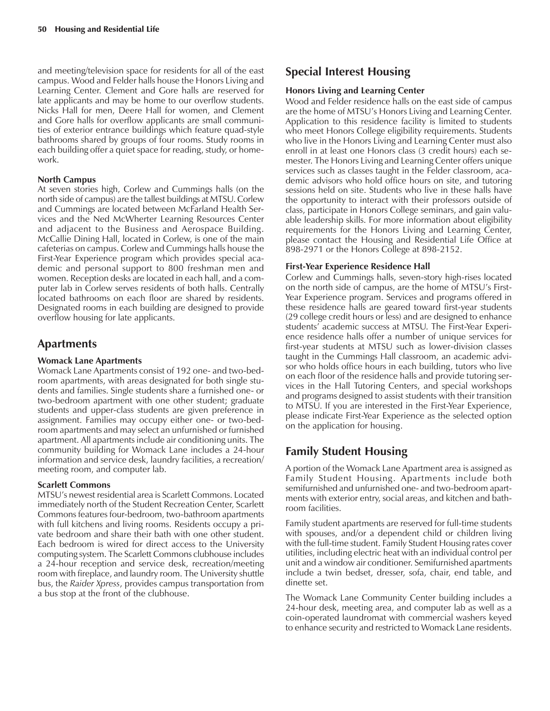and meeting/television space for residents for all of the east campus. Wood and Felder halls house the Honors Living and Learning Center. Clement and Gore halls are reserved for late applicants and may be home to our overflow students. Nicks Hall for men, Deere Hall for women, and Clement and Gore halls for overflow applicants are small communities of exterior entrance buildings which feature quad-style bathrooms shared by groups of four rooms. Study rooms in each building offer a quiet space for reading, study, or homework.

#### **North Campus**

At seven stories high, Corlew and Cummings halls (on the north side of campus) are the tallest buildings at MTSU. Corlew and Cummings are located between McFarland Health Services and the Ned McWherter Learning Resources Center and adjacent to the Business and Aerospace Building. McCallie Dining Hall, located in Corlew, is one of the main cafeterias on campus. Corlew and Cummings halls house the First-Year Experience program which provides special academic and personal support to 800 freshman men and women. Reception desks are located in each hall, and a computer lab in Corlew serves residents of both halls. Centrally located bathrooms on each floor are shared by residents. Designated rooms in each building are designed to provide overflow housing for late applicants.

### **Apartments**

#### **Womack Lane Apartments**

Womack Lane Apartments consist of 192 one- and two-bedroom apartments, with areas designated for both single students and families. Single students share a furnished one- or two-bedroom apartment with one other student; graduate students and upper-class students are given preference in assignment. Families may occupy either one- or two-bedroom apartments and may select an unfurnished or furnished apartment. All apartments include air conditioning units. The community building for Womack Lane includes a 24-hour information and service desk, laundry facilities, a recreation/ meeting room, and computer lab.

#### **Scarlett Commons**

MTSU's newest residential area is Scarlett Commons. Located immediately north of the Student Recreation Center, Scarlett Commons features four-bedroom, two-bathroom apartments with full kitchens and living rooms. Residents occupy a private bedroom and share their bath with one other student. Each bedroom is wired for direct access to the University computing system. The Scarlett Commons clubhouse includes a 24-hour reception and service desk, recreation/meeting room with fireplace, and laundry room. The University shuttle bus, the *Raider Xpress*, provides campus transportation from a bus stop at the front of the clubhouse.

# **Special Interest Housing**

#### **Honors Living and Learning Center**

Wood and Felder residence halls on the east side of campus are the home of MTSU's Honors Living and Learning Center. Application to this residence facility is limited to students who meet Honors College eligibility requirements. Students who live in the Honors Living and Learning Center must also enroll in at least one Honors class (3 credit hours) each semester. The Honors Living and Learning Center offers unique services such as classes taught in the Felder classroom, academic advisors who hold office hours on site, and tutoring sessions held on site. Students who live in these halls have the opportunity to interact with their professors outside of class, participate in Honors College seminars, and gain valuable leadership skills. For more information about eligibility requirements for the Honors Living and Learning Center, please contact the Housing and Residential Life Office at 898-2971 or the Honors College at 898-2152.

#### **First-Year Experience Residence Hall**

Corlew and Cummings halls, seven-story high-rises located on the north side of campus, are the home of MTSU's First-Year Experience program. Services and programs offered in these residence halls are geared toward first-year students (29 college credit hours or less) and are designed to enhance students' academic success at MTSU. The First-Year Experience residence halls offer a number of unique services for first-year students at MTSU such as lower-division classes taught in the Cummings Hall classroom, an academic advisor who holds office hours in each building, tutors who live on each floor of the residence halls and provide tutoring services in the Hall Tutoring Centers, and special workshops and programs designed to assist students with their transition to MTSU. If you are interested in the First-Year Experience, please indicate First-Year Experience as the selected option on the application for housing.

## **Family Student Housing**

A portion of the Womack Lane Apartment area is assigned as Family Student Housing. Apartments include both semifurnished and unfurnished one- and two-bedroom apartments with exterior entry, social areas, and kitchen and bathroom facilities.

Family student apartments are reserved for full-time students with spouses, and/or a dependent child or children living with the full-time student. Family Student Housing rates cover utilities, including electric heat with an individual control per unit and a window air conditioner. Semifurnished apartments include a twin bedset, dresser, sofa, chair, end table, and dinette set.

The Womack Lane Community Center building includes a 24-hour desk, meeting area, and computer lab as well as a coin-operated laundromat with commercial washers keyed to enhance security and restricted to Womack Lane residents.